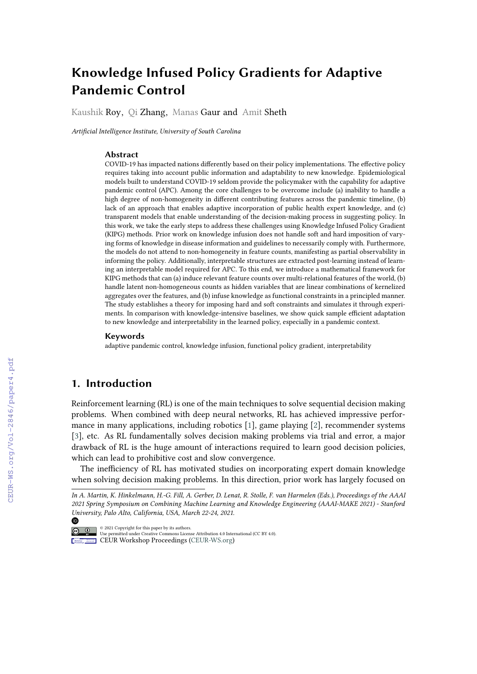# **Knowledge Infused Policy Gradients for Adaptive Pandemic Control**

Kaushik Roy, Qi Zhang, Manas Gaur and Amit Sheth

*Artificial Intelligence Institute, University of South Carolina*

#### **Abstract**

COVID-19 has impacted nations differently based on their policy implementations. The effective policy requires taking into account public information and adaptability to new knowledge. Epidemiological models built to understand COVID-19 seldom provide the policymaker with the capability for adaptive pandemic control (APC). Among the core challenges to be overcome include (a) inability to handle a high degree of non-homogeneity in different contributing features across the pandemic timeline, (b) lack of an approach that enables adaptive incorporation of public health expert knowledge, and (c) transparent models that enable understanding of the decision-making process in suggesting policy. In this work, we take the early steps to address these challenges using Knowledge Infused Policy Gradient (KIPG) methods. Prior work on knowledge infusion does not handle soft and hard imposition of varying forms of knowledge in disease information and guidelines to necessarily comply with. Furthermore, the models do not attend to non-homogeneity in feature counts, manifesting as partial observability in informing the policy. Additionally, interpretable structures are extracted post-learning instead of learning an interpretable model required for APC. To this end, we introduce a mathematical framework for KIPG methods that can (a) induce relevant feature counts over multi-relational features of the world, (b) handle latent non-homogeneous counts as hidden variables that are linear combinations of kernelized aggregates over the features, and (b) infuse knowledge as functional constraints in a principled manner. The study establishes a theory for imposing hard and soft constraints and simulates it through experiments. In comparison with knowledge-intensive baselines, we show quick sample efficient adaptation to new knowledge and interpretability in the learned policy, especially in a pandemic context.

#### **Keywords**

adaptive pandemic control, knowledge infusion, functional policy gradient, interpretability

## **1. Introduction**

◍

Reinforcement learning (RL) is one of the main techniques to solve sequential decision making problems. When combined with deep neural networks, RL has achieved impressive performance in many applications, including robotics [\[1\]](#page--1-0), game playing [\[2\]](#page--1-1), recommender systems [\[3\]](#page--1-2), etc. As RL fundamentally solves decision making problems via trial and error, a major drawback of RL is the huge amount of interactions required to learn good decision policies, which can lead to prohibitive cost and slow convergence.

The inefficiency of RL has motivated studies on incorporating expert domain knowledge when solving decision making problems. In this direction, prior work has largely focused on

*In A. Martin, K. Hinkelmann, H.-G. Fill, A. Gerber, D. Lenat, R. Stolle, F. van Harmelen (Eds.), Proceedings of the AAAI 2021 Spring Symposium on Combining Machine Learning and Knowledge Engineering (AAAI-MAKE 2021) - Stanford University, Palo Alto, California, USA, March 22-24, 2021.*

<sup>©</sup> 2021 Copyright for this paper by its authors. Use permitted under Creative Commons License Attribution 4.0 International (CC BY 4.0). **CEUR Workshop [Proceedings](http://ceur-ws.org) [\(CEUR-WS.org\)](http://ceur-ws.org)**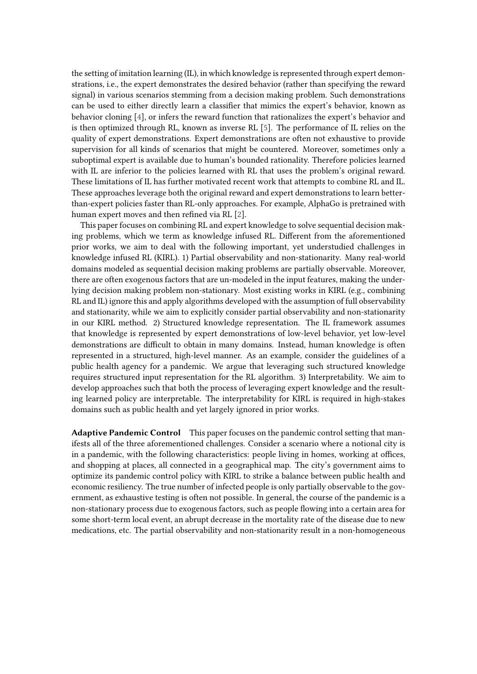the setting of imitation learning (IL), in which knowledge is represented through expert demonstrations, i.e., the expert demonstrates the desired behavior (rather than specifying the reward signal) in various scenarios stemming from a decision making problem. Such demonstrations can be used to either directly learn a classifier that mimics the expert's behavior, known as behavior cloning [\[4\]](#page-11-0), or infers the reward function that rationalizes the expert's behavior and is then optimized through RL, known as inverse RL [\[5\]](#page-11-1). The performance of IL relies on the quality of expert demonstrations. Expert demonstrations are often not exhaustive to provide supervision for all kinds of scenarios that might be countered. Moreover, sometimes only a suboptimal expert is available due to human's bounded rationality. Therefore policies learned with IL are inferior to the policies learned with RL that uses the problem's original reward. These limitations of IL has further motivated recent work that attempts to combine RL and IL. These approaches leverage both the original reward and expert demonstrations to learn betterthan-expert policies faster than RL-only approaches. For example, AlphaGo is pretrained with human expert moves and then refined via RL [\[2\]](#page-11-2).

This paper focuses on combining RL and expert knowledge to solve sequential decision making problems, which we term as knowledge infused RL. Different from the aforementioned prior works, we aim to deal with the following important, yet understudied challenges in knowledge infused RL (KIRL). 1) Partial observability and non-stationarity. Many real-world domains modeled as sequential decision making problems are partially observable. Moreover, there are often exogenous factors that are un-modeled in the input features, making the underlying decision making problem non-stationary. Most existing works in KIRL (e.g., combining RL and IL) ignore this and apply algorithms developed with the assumption of full observability and stationarity, while we aim to explicitly consider partial observability and non-stationarity in our KIRL method. 2) Structured knowledge representation. The IL framework assumes that knowledge is represented by expert demonstrations of low-level behavior, yet low-level demonstrations are difficult to obtain in many domains. Instead, human knowledge is often represented in a structured, high-level manner. As an example, consider the guidelines of a public health agency for a pandemic. We argue that leveraging such structured knowledge requires structured input representation for the RL algorithm. 3) Interpretability. We aim to develop approaches such that both the process of leveraging expert knowledge and the resulting learned policy are interpretable. The interpretability for KIRL is required in high-stakes domains such as public health and yet largely ignored in prior works.

**Adaptive Pandemic Control** This paper focuses on the pandemic control setting that manifests all of the three aforementioned challenges. Consider a scenario where a notional city is in a pandemic, with the following characteristics: people living in homes, working at offices, and shopping at places, all connected in a geographical map. The city's government aims to optimize its pandemic control policy with KIRL to strike a balance between public health and economic resiliency. The true number of infected people is only partially observable to the government, as exhaustive testing is often not possible. In general, the course of the pandemic is a non-stationary process due to exogenous factors, such as people flowing into a certain area for some short-term local event, an abrupt decrease in the mortality rate of the disease due to new medications, etc. The partial observability and non-stationarity result in a non-homogeneous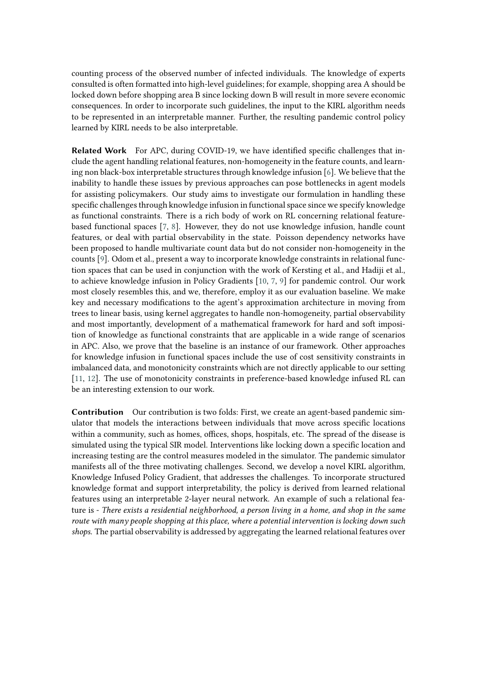counting process of the observed number of infected individuals. The knowledge of experts consulted is often formatted into high-level guidelines; for example, shopping area A should be locked down before shopping area B since locking down B will result in more severe economic consequences. In order to incorporate such guidelines, the input to the KIRL algorithm needs to be represented in an interpretable manner. Further, the resulting pandemic control policy learned by KIRL needs to be also interpretable.

**Related Work** For APC, during COVID-19, we have identified specific challenges that include the agent handling relational features, non-homogeneity in the feature counts, and learning non black-box interpretable structures through knowledge infusion [\[6\]](#page-11-3). We believe that the inability to handle these issues by previous approaches can pose bottlenecks in agent models for assisting policymakers. Our study aims to investigate our formulation in handling these specific challenges through knowledge infusion in functional space since we specify knowledge as functional constraints. There is a rich body of work on RL concerning relational featurebased functional spaces [\[7,](#page-11-4) [8\]](#page-11-5). However, they do not use knowledge infusion, handle count features, or deal with partial observability in the state. Poisson dependency networks have been proposed to handle multivariate count data but do not consider non-homogeneity in the counts [\[9\]](#page-11-6). Odom et al., present a way to incorporate knowledge constraints in relational function spaces that can be used in conjunction with the work of Kersting et al., and Hadiji et al., to achieve knowledge infusion in Policy Gradients [\[10,](#page-11-7) [7,](#page-11-4) [9\]](#page-11-6) for pandemic control. Our work most closely resembles this, and we, therefore, employ it as our evaluation baseline. We make key and necessary modifications to the agent's approximation architecture in moving from trees to linear basis, using kernel aggregates to handle non-homogeneity, partial observability and most importantly, development of a mathematical framework for hard and soft imposition of knowledge as functional constraints that are applicable in a wide range of scenarios in APC. Also, we prove that the baseline is an instance of our framework. Other approaches for knowledge infusion in functional spaces include the use of cost sensitivity constraints in imbalanced data, and monotonicity constraints which are not directly applicable to our setting [\[11,](#page-11-8) [12\]](#page-11-9). The use of monotonicity constraints in preference-based knowledge infused RL can be an interesting extension to our work.

**Contribution** Our contribution is two folds: First, we create an agent-based pandemic simulator that models the interactions between individuals that move across specific locations within a community, such as homes, offices, shops, hospitals, etc. The spread of the disease is simulated using the typical SIR model. Interventions like locking down a specific location and increasing testing are the control measures modeled in the simulator. The pandemic simulator manifests all of the three motivating challenges. Second, we develop a novel KIRL algorithm, Knowledge Infused Policy Gradient, that addresses the challenges. To incorporate structured knowledge format and support interpretability, the policy is derived from learned relational features using an interpretable 2-layer neural network. An example of such a relational feature is - *There exists a residential neighborhood, a person living in a home, and shop in the same route with many people shopping at this place, where a potential intervention is locking down such shops.* The partial observability is addressed by aggregating the learned relational features over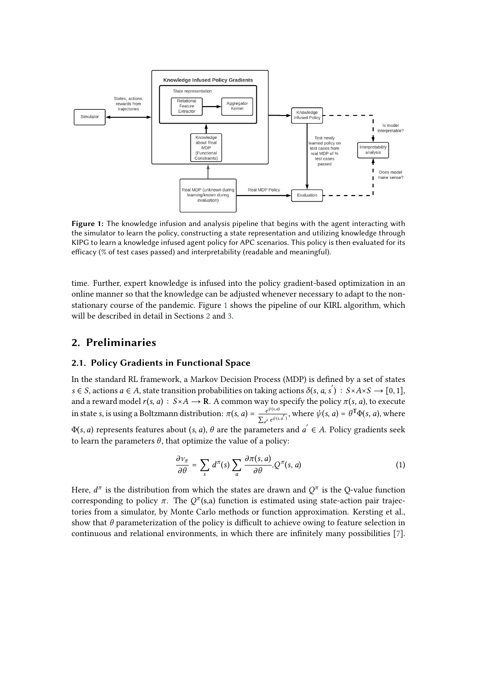<span id="page-3-0"></span>

**Figure 1:** The knowledge infusion and analysis pipeline that begins with the agent interacting with the simulator to learn the policy, constructing a state representation and utilizing knowledge through KIPG to learn a knowledge infused agent policy for APC scenarios. This policy is then evaluated for its efficacy (% of test cases passed) and interpretability (readable and meaningful).

time. Further, expert knowledge is infused into the policy gradient-based optimization in an online manner so that the knowledge can be adjusted whenever necessary to adapt to the nonstationary course of the pandemic. Figure [1](#page-3-0) shows the pipeline of our KIRL algorithm, which will be described in detail in Sections [2](#page-3-1) and [3.](#page-5-0)

# <span id="page-3-1"></span>**2. Preliminaries**

#### **2.1. Policy Gradients in Functional Space**

In the standard RL framework, a Markov Decision Process (MDP) is defined by a set of states s ∈ S, actions  $a \in A$ , state transition probabilities on taking actions  $\delta(s, a, s') : S \times A \times S \longrightarrow [0, 1]$ , and a reward model  $r(s, a) : S \times A \rightarrow \mathbb{R}$ . A common way to specify the policy  $\pi(s, a)$ , to execute in state s, is using a Boltzmann distribution:  $\pi(s, a) = e^{\psi(s, a)}$  $\frac{e^{\psi(s,a)}}{\sum_{a'} e^{\psi(s,a')}}$ , where  $\psi(s,a) = \theta^{\text{T}} \Phi(s,a)$ , where

 $\Phi(s, a)$  represents features about  $(s, a)$ ,  $\theta$  are the parameters and  $a^{'} \in A$ . Policy gradients seek to learn the parameters  $\theta$ , that optimize the value of a policy:

<span id="page-3-2"></span>
$$
\frac{\partial v_{\pi}}{\partial \theta} = \sum_{s} d^{\pi}(s) \sum_{a} \frac{\partial \pi(s, a)}{\partial \theta} Q^{\pi}(s, a)
$$
 (1)

Here,  $d^{\pi}$  is the distribution from which the states are drawn and  $Q^{\pi}$  is the Q-value function corresponding to policy  $\pi$ . The  $Q^{\pi}(s,a)$  function is estimated using state-action pair trajectories from a simulator, by Monte Carlo methods or function approximation. Kersting et al., show that  $\theta$  parameterization of the policy is difficult to achieve owing to feature selection in continuous and relational environments, in which there are infinitely many possibilities [\[7\]](#page-11-4).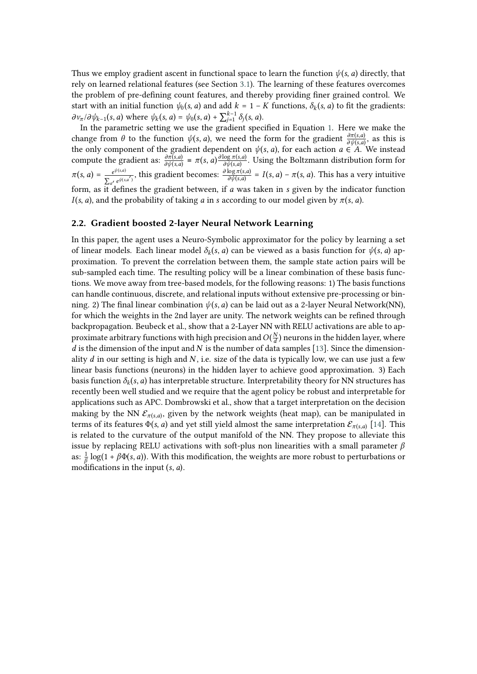Thus we employ gradient ascent in functional space to learn the function  $\psi(s, a)$  directly, that rely on learned relational features (see Section [3.1\)](#page-5-1). The learning of these features overcomes the problem of pre-defining count features, and thereby providing finer grained control. We start with an initial function  $\psi_0(s, a)$  and add  $k = 1 - K$  functions,  $\delta_k(s, a)$  to fit the gradients:  $\partial v_{\pi}/\partial \psi_{k-1}(s, a)$  where  $\psi_k(s, a) = \psi_0(s, a) + \sum_{j=1}^{k-1} \delta_j(s, a)$ .

In the parametric setting we use the gradient specified in Equation [1.](#page-3-2) Here we make the change from  $\theta$  to the function  $\psi(s, a)$ , we need the form for the gradient  $\frac{\partial \pi(s, a)}{\partial \psi(s, a)}$ , as this is the only component of the gradient dependent on  $\psi(s, a)$ , for each action  $a \in A$ . We instead compute the gradient as:  $\frac{\partial \pi(s,a)}{\partial \psi(s,a)} = \pi(s,a) \frac{\partial \log \pi(s,a)}{\partial \psi(s,a)}$  $\frac{\log \pi(s,a)}{\partial \psi(s,a)}$ . Using the Boltzmann distribution form for  $\pi(s, a) = \frac{e^{\psi(s, a)}}{b}$  $\frac{e^{\psi(s,a)}}{\sum_{a'} e^{\psi(s,a')}}$ , this gradient becomes:  $\frac{\partial \log \pi(s,a)}{\partial \psi(s,a)} = I(s,a) - \pi(s,a)$ . This has a very intuitive form, as it defines the gradient between, if  $a$  was taken in  $s$  given by the indicator function  $I(s, a)$ , and the probability of taking a in s according to our model given by  $\pi(s, a)$ .

## **2.2. Gradient boosted 2-layer Neural Network Learning**

In this paper, the agent uses a Neuro-Symbolic approximator for the policy by learning a set of linear models. Each linear model  $\delta_k(s, a)$  can be viewed as a basis function for  $\psi(s, a)$  approximation. To prevent the correlation between them, the sample state action pairs will be sub-sampled each time. The resulting policy will be a linear combination of these basis functions. We move away from tree-based models, for the following reasons: 1) The basis functions can handle continuous, discrete, and relational inputs without extensive pre-processing or binning. 2) The final linear combination  $\psi(s, a)$  can be laid out as a 2-layer Neural Network(NN), for which the weights in the 2nd layer are unity. The network weights can be refined through backpropagation. Beubeck et al., show that a 2-Layer NN with RELU activations are able to approximate arbitrary functions with high precision and  $O(\frac{N}{d})$  $\frac{N}{d}$ ) neurons in the hidden layer, where  $d$  is the dimension of the input and  $N$  is the number of data samples [\[13\]](#page-11-10). Since the dimensionality d in our setting is high and N, i.e. size of the data is typically low, we can use just a few linear basis functions (neurons) in the hidden layer to achieve good approximation. 3) Each basis function  $\delta_k(s, a)$  has interpretable structure. Interpretability theory for NN structures has recently been well studied and we require that the agent policy be robust and interpretable for applications such as APC. Dombrowski et al., show that a target interpretation on the decision making by the NN  $\mathcal{E}_{\pi(s,a)}$ , given by the network weights (heat map), can be manipulated in terms of its features  $\Phi(s, a)$  and yet still yield almost the same interpretation  $\mathcal{E}_{\pi(s, a)}$  [\[14\]](#page-11-11). This is related to the curvature of the output manifold of the NN. They propose to alleviate this issue by replacing RELU activations with soft-plus non linearities with a small parameter  $\beta$ as:  $\frac{1}{\beta}$  log(1 +  $\beta\Phi(s, a)$ ). With this modification, the weights are more robust to perturbations or modifications in the input  $(s, a)$ .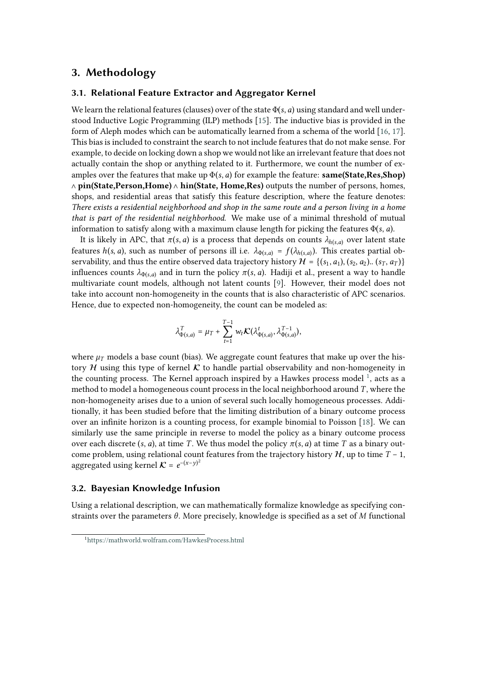## <span id="page-5-0"></span>**3. Methodology**

#### <span id="page-5-1"></span>**3.1. Relational Feature Extractor and Aggregator Kernel**

We learn the relational features (clauses) over of the state  $\Phi(s, a)$  using standard and well understood Inductive Logic Programming (ILP) methods [\[15\]](#page-11-12). The inductive bias is provided in the form of Aleph modes which can be automatically learned from a schema of the world [\[16,](#page-11-13) [17\]](#page-11-14). This bias is included to constraint the search to not include features that do not make sense. For example, to decide on locking down a shop we would not like an irrelevant feature that does not actually contain the shop or anything related to it. Furthermore, we count the number of examples over the features that make up  $\Phi(s, a)$  for example the feature: **same(State,Res,Shop)** ∧ **pin(State,Person,Home)** ∧ **hin(State, Home,Res)** outputs the number of persons, homes, shops, and residential areas that satisfy this feature description, where the feature denotes: *There exists a residential neighborhood and shop in the same route and a person living in a home that is part of the residential neighborhood*. We make use of a minimal threshold of mutual information to satisfy along with a maximum clause length for picking the features  $\Phi(s, a)$ .

It is likely in APC, that  $\pi(s, a)$  is a process that depends on counts  $\lambda_{h(s, a)}$  over latent state features  $h(s, a)$ , such as number of persons ill i.e.  $\lambda_{\Phi(s, a)} = f(\lambda_{h(s, a)})$ . This creates partial observability, and thus the entire observed data trajectory history  $\mathcal{H} = \{(s_1, a_1), (s_2, a_2) \dots (s_T, a_T)\}\$ influences counts  $\lambda_{\Phi(s,a)}$  and in turn the policy  $\pi(s, a)$ . Hadiji et al., present a way to handle multivariate count models, although not latent counts [\[9\]](#page-11-6). However, their model does not take into account non-homogeneity in the counts that is also characteristic of APC scenarios. Hence, due to expected non-homogeneity, the count can be modeled as:

$$
\lambda_{\Phi(s,a)}^T = \mu_T + \sum_{t=1}^{T-1} w_t \mathcal{K}(\lambda_{\Phi(s,a)}^t, \lambda_{\Phi(s,a)}^{T-1}),
$$

where  $\mu$ <sub>T</sub> models a base count (bias). We aggregate count features that make up over the history H using this type of kernel  $\mathcal K$  to handle partial observability and non-homogeneity in the counting process. The Kernel approach inspired by a Hawkes process model  $^1$  $^1$ , acts as a method to model a homogeneous count process in the local neighborhood around  $T$ , where the non-homogeneity arises due to a union of several such locally homogeneous processes. Additionally, it has been studied before that the limiting distribution of a binary outcome process over an infinite horizon is a counting process, for example binomial to Poisson [\[18\]](#page-11-15). We can similarly use the same principle in reverse to model the policy as a binary outcome process over each discrete (s, a), at time T. We thus model the policy  $\pi(s, a)$  at time T as a binary outcome problem, using relational count features from the trajectory history  $H$ , up to time  $T - 1$ , aggregated using kernel  $K = e^{-(x-y)^2}$ 

#### **3.2. Bayesian Knowledge Infusion**

Using a relational description, we can mathematically formalize knowledge as specifying constraints over the parameters  $\theta$ . More precisely, knowledge is specified as a set of M functional

<sup>1</sup><https://mathworld.wolfram.com/HawkesProcess.html>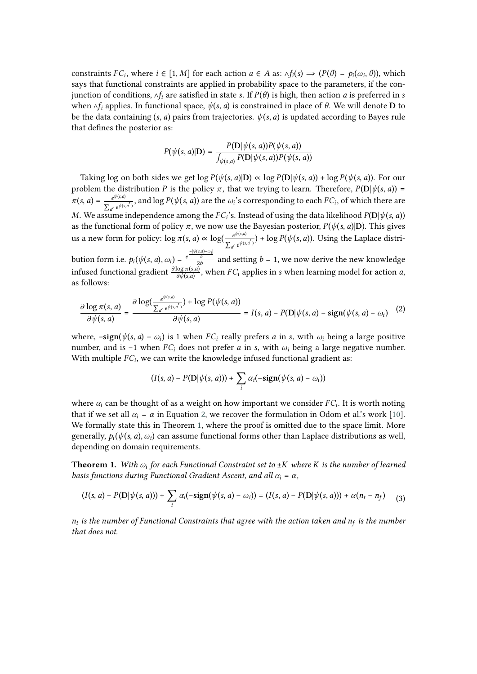constraints  $FC_i$ , where  $i \in [1, M]$  for each action  $a \in A$  as:  $\Delta f_i(s) \Rightarrow (P(\theta) = p_i(\omega_i, \theta))$ , which says that functional constraints are applied in probability space to the parameters, if the conjunction of conditions,  $\wedge f_i$  are satisfied in state s. If  $P(\theta)$  is high, then action *a* is preferred in *s* when  $\wedge f_i$  applies. In functional space,  $\psi(s, a)$  is constrained in place of  $\theta$ . We will denote **D** to be the data containing  $(s, a)$  pairs from trajectories.  $\psi(s, a)$  is updated according to Bayes rule that defines the posterior as:

$$
P(\psi(s, a)|\mathbf{D}) = \frac{P(\mathbf{D}|\psi(s, a))P(\psi(s, a))}{\int_{\psi(s, a)} P(\mathbf{D}|\psi(s, a))P(\psi(s, a))}
$$

Taking log on both sides we get log  $P(\psi(s, a)|\mathbf{D}) \propto \log P(\mathbf{D}|\psi(s, a)) + \log P(\psi(s, a))$ . For our problem the distribution P is the policy  $\pi$ , that we trying to learn. Therefore,  $P(D|\psi(s, a)) =$  $\pi(s, a) = \frac{e^{\psi(s, a)}}{a}$  $\frac{e^{\varphi(s,a')}}{\sum_{a'} e^{\psi(s,a')}}$ , and  $\log P(\psi(s,a))$  are the  $\omega_i$ 's corresponding to each  $FC_i$ , of which there are M. We assume independence among the  $FC_i$ 's. Instead of using the data likelihood  $P(D|\psi(s, a))$ as the functional form of policy  $\pi$ , we now use the Bayesian posterior,  $P(\psi(s, a)|D)$ . This gives us a new form for policy:  $\log \pi(s, a) \propto \log(\frac{e^{\psi(s, a)}}{\sqrt{m}})$  $\frac{e^{\varphi(s,a')}}{\sum_{a'} e^{\psi(s,a')}}$ ) + log  $P(\psi(s,a))$ . Using the Laplace distribution form i.e.  $p_i(\psi(s, a), \omega_i) = \frac{e^{\frac{-|\psi(s, a) - \omega_i|}{b}}}{2b}$  and setting  $b = 1$ , we now derive the new knowledge infused functional gradient  $\frac{\partial \log \pi(s,a)}{\partial \psi(s,a)}$ , when  $FC_i$  applies in s when learning model for action a, as follows:

<span id="page-6-0"></span>
$$
\frac{\partial \log \pi(s, a)}{\partial \psi(s, a)} = \frac{\partial \log(\frac{e^{\psi(s, a')}}{\sum_{a'} e^{\psi(s, a')}}) + \log P(\psi(s, a))}{\partial \psi(s, a)} = I(s, a) - P(D|\psi(s, a) - \text{sign}(\psi(s, a) - \omega_i)
$$
(2)

where,  $-\text{sign}(\psi(s, a) - \omega_i)$  is 1 when  $FC_i$  really prefers a in s, with  $\omega_i$  being a large positive number, and is −1 when  $FC_i$  does not prefer *a* in *s*, with  $\omega_i$  being a large negative number. With multiple  $FC_i$ , we can write the knowledge infused functional gradient as:

$$
(I(s, a) - P(D|\psi(s, a))) + \sum_i \alpha_i(-\text{sign}(\psi(s, a) - \omega_i))
$$

where  $\alpha_i$  can be thought of as a weight on how important we consider  $FC_i$ . It is worth noting that if we set all  $\alpha_i = \alpha$  in Equation [2,](#page-6-0) we recover the formulation in Odom et al.'s work [\[10\]](#page-11-7). We formally state this in Theorem [1,](#page-6-1) where the proof is omitted due to the space limit. More generally,  $p_i(\psi(s, a), \omega_i)$  can assume functional forms other than Laplace distributions as well, depending on domain requirements.

<span id="page-6-1"></span>**Theorem 1.** *With*  $\omega_i$  for each Functional Constraint set to  $\pm K$  where K is the number of learned *basis functions during Functional Gradient Ascent, and all*  $\alpha_i = \alpha$ ,

$$
(I(s,a)-P(\mathbf{D}|\psi(s,a))) + \sum_i \alpha_i(-\mathrm{sign}(\psi(s,a)-\omega_i)) = (I(s,a)-P(\mathbf{D}|\psi(s,a))) + \alpha(n_t-n_f) \quad (3)
$$

 $n_t$  is the number of Functional Constraints that agree with the action taken and  $n_f$  is the number *that does not.*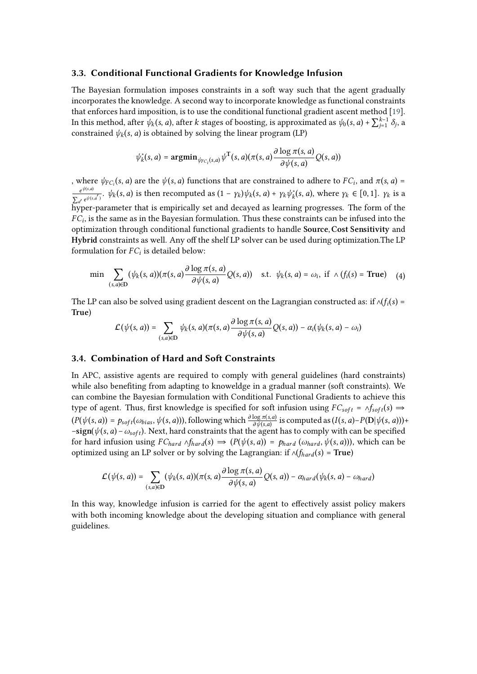## **3.3. Conditional Functional Gradients for Knowledge Infusion**

The Bayesian formulation imposes constraints in a soft way such that the agent gradually incorporates the knowledge. A second way to incorporate knowledge as functional constraints that enforces hard imposition, is to use the conditional functional gradient ascent method [\[19\]](#page-11-16). In this method, after  $\psi_k(s, a)$ , after  $k$  stages of boosting, is approximated as  $\psi_0(s, a) + \sum_{j=1}^{k-1} \delta_j$ , a constrained  $\psi_k(s, a)$  is obtained by solving the linear program (LP)

$$
\psi_k^*(s, a) = \mathop{\rm argmin}_{\psi_{FC_i}(s, a)} \psi^{\mathsf{T}}(s, a) (\pi(s, a) \frac{\partial \log \pi(s, a)}{\partial \psi(s, a)} Q(s, a))
$$

, where  $\psi_{FC_i}(s, a)$  are the  $\psi(s, a)$  functions that are constrained to adhere to  $FC_i$ , and  $\pi(s, a)$  =  $e^{\psi(s,a)}$  $\frac{e^{\psi(s,a)}}{\sum_{a'} e^{\psi(s,a')}}$ .  $\psi_k(s,a)$  is then recomputed as  $(1 - \gamma_k)\psi_k(s,a) + \gamma_k\psi_k^*(s,a)$ , where  $\gamma_k \in [0,1]$ .  $\gamma_k$  is a hyper-parameter that is empirically set and decayed as learning progresses. The form of the  $FC<sub>i</sub>$ , is the same as in the Bayesian formulation. Thus these constraints can be infused into the optimization through conditional functional gradients to handle Source, Cost Sensitivity and Hybrid constraints as well. Any off the shelf LP solver can be used during optimization. The LP formulation for  $FC_i$  is detailed below:

$$
\min \sum_{(s,a)\in \mathbf{D}} (\psi_k(s,a)) (\pi(s,a) \frac{\partial \log \pi(s,a)}{\partial \psi(s,a)} Q(s,a)) \quad \text{s.t.} \quad \psi_k(s,a) = \omega_i, \text{ if } \wedge (f_i(s) = \text{True}) \tag{4}
$$

The LP can also be solved using gradient descent on the Lagrangian constructed as: if  $\wedge (f_i(s) =$ True)

$$
\mathcal{L}(\psi(s,a)) = \sum_{(s,a)\in D} \psi_k(s,a) (\pi(s,a) \frac{\partial \log \pi(s,a)}{\partial \psi(s,a)} Q(s,a)) - \alpha_i(\psi_k(s,a) - \omega_i)
$$

## **3.4. Combination of Hard and Soft Constraints**

In APC, assistive agents are required to comply with general guidelines (hard constraints) while also benefiting from adapting to knoweldge in a gradual manner (soft constraints). We can combine the Bayesian formulation with Conditional Functional Gradients to achieve this type of agent. Thus, first knowledge is specified for soft infusion using  $FC_{soft} = \Lambda f_{soft}(s) \Rightarrow$  $(P(\psi(s, a)) = p_{\text{soft}}(\omega_{bias}, \psi(s, a)))$ , following which  $\frac{\partial \log \pi(s, a)}{\partial \psi(s, a)}$  is computed as  $(I(s, a) - P(D|\psi(s, a))) +$  $-\text{sign}(\psi(s, a) - \omega_{\text{soft}})$ . Next, hard constraints that the agent has to comply with can be specified for hard infusion using  $FC_{hard} \wedge f_{hard}(s) \Rightarrow (P(\psi(s, a)) = p_{hard}(\omega_{hard}, \psi(s, a)))$ , which can be optimized using an LP solver or by solving the Lagrangian: if  $\wedge$ ( $f_{hard}(s)$  = True)

$$
\mathcal{L}(\psi(s,a)) = \sum_{(s,a)\in D} (\psi_k(s,a)) (\pi(s,a) \frac{\partial \log \pi(s,a)}{\partial \psi(s,a)} Q(s,a)) - \alpha_{hard}(\psi_k(s,a) - \omega_{hard})
$$

In this way, knowledge infusion is carried for the agent to effectively assist policy makers with both incoming knowledge about the developing situation and compliance with general guidelines.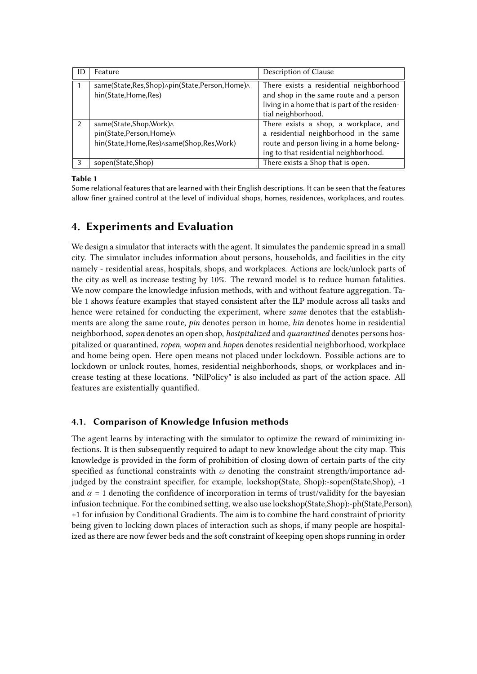<span id="page-8-0"></span>

| ID            | Feature                                                                                       | Description of Clause                                                                                                                                                 |
|---------------|-----------------------------------------------------------------------------------------------|-----------------------------------------------------------------------------------------------------------------------------------------------------------------------|
|               | same(State, Res, Shop) Apin(State, Person, Home) A<br>hin(State,Home,Res)                     | There exists a residential neighborhood<br>and shop in the same route and a person<br>living in a home that is part of the residen-<br>tial neighborhood.             |
| $\mathcal{P}$ | same(State,Shop,Work)^<br>pin(State,Person,Home)^<br>hin(State,Home,Res) Asame(Shop,Res,Work) | There exists a shop, a workplace, and<br>a residential neighborhood in the same<br>route and person living in a home belong-<br>ing to that residential neighborhood. |
| 3             | sopen(State,Shop)                                                                             | There exists a Shop that is open.                                                                                                                                     |

#### **Table 1**

Some relational features that are learned with their English descriptions. It can be seen that the features allow finer grained control at the level of individual shops, homes, residences, workplaces, and routes.

# **4. Experiments and Evaluation**

We design a simulator that interacts with the agent. It simulates the pandemic spread in a small city. The simulator includes information about persons, households, and facilities in the city namely - residential areas, hospitals, shops, and workplaces. Actions are lock/unlock parts of the city as well as increase testing by 10%. The reward model is to reduce human fatalities. We now compare the knowledge infusion methods, with and without feature aggregation. Table [1](#page-8-0) shows feature examples that stayed consistent after the ILP module across all tasks and hence were retained for conducting the experiment, where *same* denotes that the establishments are along the same route, *pin* denotes person in home, *hin* denotes home in residential neighborhood, *sopen* denotes an open shop, *hostpitalized* and *quarantined* denotes persons hospitalized or quarantined, *ropen*, *wopen* and *hopen* denotes residential neighborhood, workplace and home being open. Here open means not placed under lockdown. Possible actions are to lockdown or unlock routes, homes, residential neighborhoods, shops, or workplaces and increase testing at these locations. "NilPolicy" is also included as part of the action space. All features are existentially quantified.

## **4.1. Comparison of Knowledge Infusion methods**

The agent learns by interacting with the simulator to optimize the reward of minimizing infections. It is then subsequently required to adapt to new knowledge about the city map. This knowledge is provided in the form of prohibition of closing down of certain parts of the city specified as functional constraints with  $\omega$  denoting the constraint strength/importance adjudged by the constraint specifier, for example, lockshop(State, Shop):-sopen(State,Shop), -1 and  $\alpha = 1$  denoting the confidence of incorporation in terms of trust/validity for the bayesian infusion technique. For the combined setting, we also use lockshop(State,Shop):-ph(State,Person), +1 for infusion by Conditional Gradients. The aim is to combine the hard constraint of priority being given to locking down places of interaction such as shops, if many people are hospitalized as there are now fewer beds and the soft constraint of keeping open shops running in order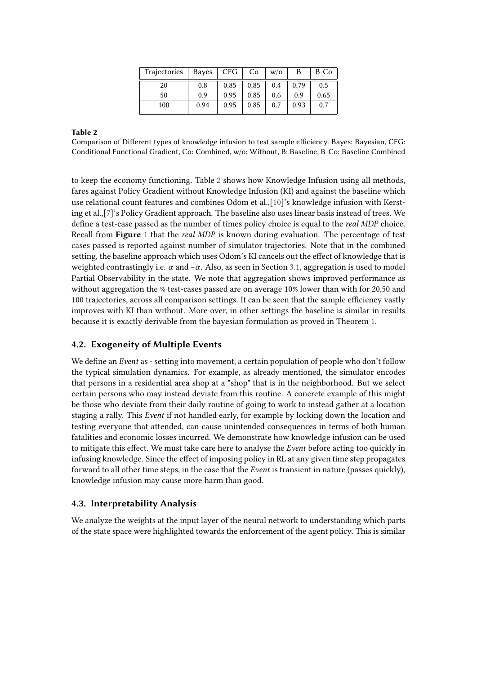| Trajectories   Bayes   CFG   Co |      |      |      | W/O | B    | B-Co |
|---------------------------------|------|------|------|-----|------|------|
| 20                              | 0.8  | 0.85 | 0.85 | 0.4 | 0.79 | 0.5  |
| 50                              | 0.9  | 0.95 | 0.85 | 0.6 | 0.9  | 0.65 |
| 100                             | 0.94 | 0.95 | 0.85 | 0.7 | 0.93 | 0.7  |

#### <span id="page-9-0"></span>**Table 2**

Comparison of Different types of knowledge infusion to test sample efficiency. Bayes: Bayesian, CFG: Conditional Functional Gradient, Co: Combined, w/o: Without, B: Baseline, B-Co: Baseline Combined

to keep the economy functioning. Table [2](#page-9-0) shows how Knowledge Infusion using all methods, fares against Policy Gradient without Knowledge Infusion (KI) and against the baseline which use relational count features and combines Odom et al.,[\[10\]](#page-11-7)'s knowledge infusion with Kersting et al.,[\[7\]](#page-11-4)'s Policy Gradient approach. The baseline also uses linear basis instead of trees. We define a test-case passed as the number of times policy choice is equal to the *real MDP* choice. Recall from **Figure** [1](#page-3-0) that the *real MDP* is known during evaluation. The percentage of test cases passed is reported against number of simulator trajectories. Note that in the combined setting, the baseline approach which uses Odom's KI cancels out the effect of knowledge that is weighted contrastingly i.e.  $\alpha$  and  $-\alpha$ . Also, as seen in Section [3.1,](#page-5-1) aggregation is used to model Partial Observability in the state. We note that aggregation shows improved performance as without aggregation the % test-cases passed are on average 10% lower than with for 20,50 and 100 trajectories, across all comparison settings. It can be seen that the sample efficiency vastly improves with KI than without. More over, in other settings the baseline is similar in results because it is exactly derivable from the bayesian formulation as proved in Theorem [1.](#page-6-1)

## **4.2. Exogeneity of Multiple Events**

We define an *Event* as - setting into movement, a certain population of people who don't follow the typical simulation dynamics. For example, as already mentioned, the simulator encodes that persons in a residential area shop at a "shop" that is in the neighborhood. But we select certain persons who may instead deviate from this routine. A concrete example of this might be those who deviate from their daily routine of going to work to instead gather at a location staging a rally. This *Event* if not handled early, for example by locking down the location and testing everyone that attended, can cause unintended consequences in terms of both human fatalities and economic losses incurred. We demonstrate how knowledge infusion can be used to mitigate this effect. We must take care here to analyse the *Event* before acting too quickly in infusing knowledge. Since the effect of imposing policy in RL at any given time step propagates forward to all other time steps, in the case that the *Event* is transient in nature (passes quickly), knowledge infusion may cause more harm than good.

#### **4.3. Interpretability Analysis**

We analyze the weights at the input layer of the neural network to understanding which parts of the state space were highlighted towards the enforcement of the agent policy. This is similar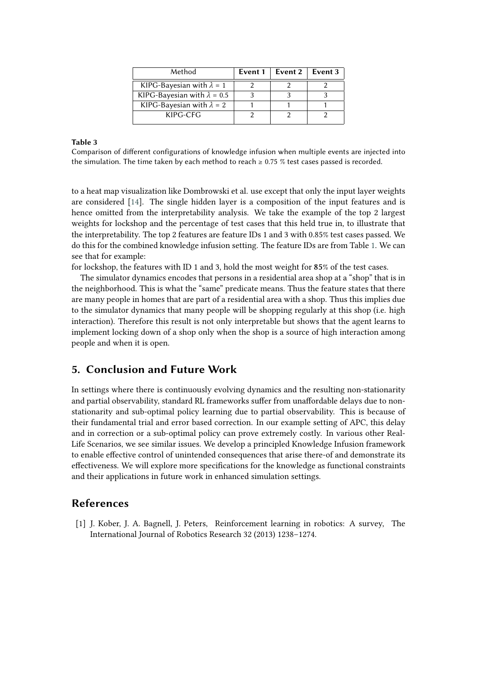| Method                             | Event 1 | Event $2 \mid$ | Event 3 |
|------------------------------------|---------|----------------|---------|
| KIPG-Bayesian with $\lambda = 1$   |         |                |         |
| KIPG-Bayesian with $\lambda = 0.5$ |         |                |         |
| KIPG-Bayesian with $\lambda = 2$   |         |                |         |
| KIPG-CFG                           |         |                |         |

#### **Table 3**

Comparison of different configurations of knowledge infusion when multiple events are injected into the simulation. The time taken by each method to reach  $\geq 0.75$  % test cases passed is recorded.

to a heat map visualization like Dombrowski et al. use except that only the input layer weights are considered [\[14\]](#page-11-11). The single hidden layer is a composition of the input features and is hence omitted from the interpretability analysis. We take the example of the top 2 largest weights for lockshop and the percentage of test cases that this held true in, to illustrate that the interpretability. The top 2 features are feature IDs 1 and 3 with 0.85% test cases passed. We do this for the combined knowledge infusion setting. The feature IDs are from Table [1.](#page-8-0) We can see that for example:

for lockshop, the features with ID 1 and 3, hold the most weight for  $85\%$  of the test cases.

The simulator dynamics encodes that persons in a residential area shop at a "shop" that is in the neighborhood. This is what the "same" predicate means. Thus the feature states that there are many people in homes that are part of a residential area with a shop. Thus this implies due to the simulator dynamics that many people will be shopping regularly at this shop (i.e. high interaction). Therefore this result is not only interpretable but shows that the agent learns to implement locking down of a shop only when the shop is a source of high interaction among people and when it is open.

# **5. Conclusion and Future Work**

In settings where there is continuously evolving dynamics and the resulting non-stationarity and partial observability, standard RL frameworks suffer from unaffordable delays due to nonstationarity and sub-optimal policy learning due to partial observability. This is because of their fundamental trial and error based correction. In our example setting of APC, this delay and in correction or a sub-optimal policy can prove extremely costly. In various other Real-Life Scenarios, we see similar issues. We develop a principled Knowledge Infusion framework to enable effective control of unintended consequences that arise there-of and demonstrate its effectiveness. We will explore more specifications for the knowledge as functional constraints and their applications in future work in enhanced simulation settings.

# **References**

[1] J. Kober, J. A. Bagnell, J. Peters, Reinforcement learning in robotics: A survey, The International Journal of Robotics Research 32 (2013) 1238–1274.